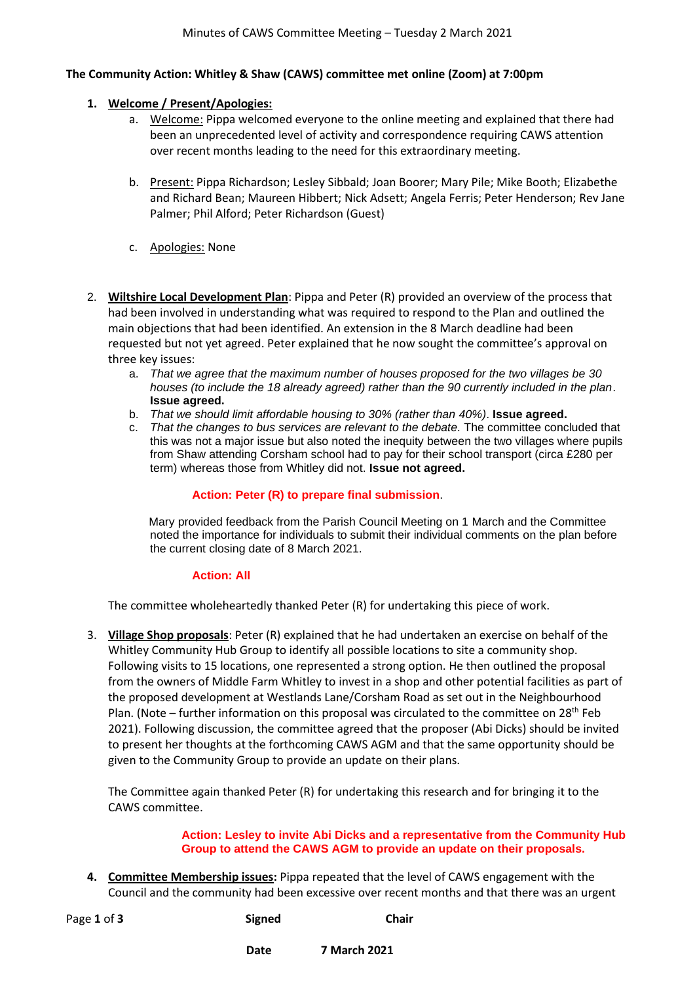### **The Community Action: Whitley & Shaw (CAWS) committee met online (Zoom) at 7:00pm**

### **1. Welcome / Present/Apologies:**

- a. Welcome: Pippa welcomed everyone to the online meeting and explained that there had been an unprecedented level of activity and correspondence requiring CAWS attention over recent months leading to the need for this extraordinary meeting.
- b. Present: Pippa Richardson; Lesley Sibbald; Joan Boorer; Mary Pile; Mike Booth; Elizabethe and Richard Bean; Maureen Hibbert; Nick Adsett; Angela Ferris; Peter Henderson; Rev Jane Palmer; Phil Alford; Peter Richardson (Guest)
- c. Apologies: None
- 2. **Wiltshire Local Development Plan**: Pippa and Peter (R) provided an overview of the process that had been involved in understanding what was required to respond to the Plan and outlined the main objections that had been identified. An extension in the 8 March deadline had been requested but not yet agreed. Peter explained that he now sought the committee's approval on three key issues:
	- a. *That we agree that the maximum number of houses proposed for the two villages be 30 houses (to include the 18 already agreed) rather than the 90 currently included in the plan*. **Issue agreed.**
	- b. *That we should limit affordable housing to 30% (rather than 40%)*. **Issue agreed.**
	- c. *That the changes to bus services are relevant to the debate.* The committee concluded that this was not a major issue but also noted the inequity between the two villages where pupils from Shaw attending Corsham school had to pay for their school transport (circa £280 per term) whereas those from Whitley did not. **Issue not agreed.**

# **Action: Peter (R) to prepare final submission**.

Mary provided feedback from the Parish Council Meeting on 1 March and the Committee noted the importance for individuals to submit their individual comments on the plan before the current closing date of 8 March 2021.

# **Action: All**

The committee wholeheartedly thanked Peter (R) for undertaking this piece of work.

3. **Village Shop proposals**: Peter (R) explained that he had undertaken an exercise on behalf of the Whitley Community Hub Group to identify all possible locations to site a community shop. Following visits to 15 locations, one represented a strong option. He then outlined the proposal from the owners of Middle Farm Whitley to invest in a shop and other potential facilities as part of the proposed development at Westlands Lane/Corsham Road as set out in the Neighbourhood Plan. (Note – further information on this proposal was circulated to the committee on 28<sup>th</sup> Feb 2021). Following discussion, the committee agreed that the proposer (Abi Dicks) should be invited to present her thoughts at the forthcoming CAWS AGM and that the same opportunity should be given to the Community Group to provide an update on their plans.

The Committee again thanked Peter (R) for undertaking this research and for bringing it to the CAWS committee.

#### **Action: Lesley to invite Abi Dicks and a representative from the Community Hub Group to attend the CAWS AGM to provide an update on their proposals.**

**4. Committee Membership issues:** Pippa repeated that the level of CAWS engagement with the Council and the community had been excessive over recent months and that there was an urgent

| Page 1 of 3 | <b>Signed</b> | Chair |
|-------------|---------------|-------|
|             |               |       |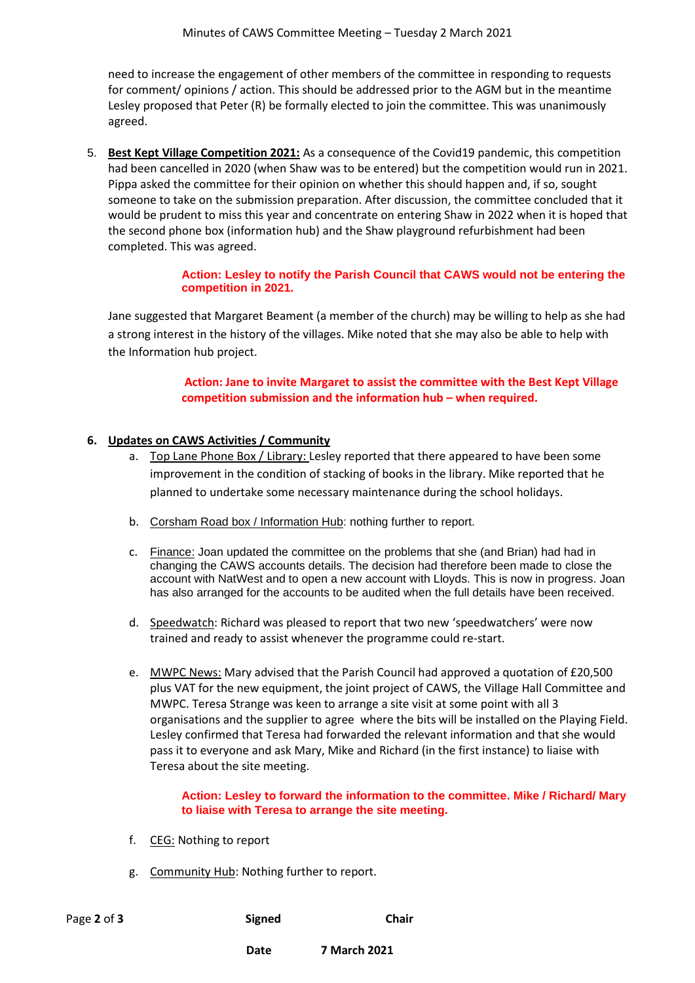need to increase the engagement of other members of the committee in responding to requests for comment/ opinions / action. This should be addressed prior to the AGM but in the meantime Lesley proposed that Peter (R) be formally elected to join the committee. This was unanimously agreed.

5. **Best Kept Village Competition 2021:** As a consequence of the Covid19 pandemic, this competition had been cancelled in 2020 (when Shaw was to be entered) but the competition would run in 2021. Pippa asked the committee for their opinion on whether this should happen and, if so, sought someone to take on the submission preparation. After discussion, the committee concluded that it would be prudent to miss this year and concentrate on entering Shaw in 2022 when it is hoped that the second phone box (information hub) and the Shaw playground refurbishment had been completed. This was agreed.

## **Action: Lesley to notify the Parish Council that CAWS would not be entering the competition in 2021.**

Jane suggested that Margaret Beament (a member of the church) may be willing to help as she had a strong interest in the history of the villages. Mike noted that she may also be able to help with the Information hub project.

> **Action: Jane to invite Margaret to assist the committee with the Best Kept Village competition submission and the information hub – when required.**

# **6. Updates on CAWS Activities / Community**

- a. Top Lane Phone Box / Library: Lesley reported that there appeared to have been some improvement in the condition of stacking of books in the library. Mike reported that he planned to undertake some necessary maintenance during the school holidays.
- b. Corsham Road box / Information Hub: nothing further to report.
- c. Finance: Joan updated the committee on the problems that she (and Brian) had had in changing the CAWS accounts details. The decision had therefore been made to close the account with NatWest and to open a new account with Lloyds. This is now in progress. Joan has also arranged for the accounts to be audited when the full details have been received.
- d. Speedwatch: Richard was pleased to report that two new 'speedwatchers' were now trained and ready to assist whenever the programme could re-start.
- e. MWPC News: Mary advised that the Parish Council had approved a quotation of £20,500 plus VAT for the new equipment, the joint project of CAWS, the Village Hall Committee and MWPC. Teresa Strange was keen to arrange a site visit at some point with all 3 organisations and the supplier to agree where the bits will be installed on the Playing Field. Lesley confirmed that Teresa had forwarded the relevant information and that she would pass it to everyone and ask Mary, Mike and Richard (in the first instance) to liaise with Teresa about the site meeting.

### **Action: Lesley to forward the information to the committee. Mike / Richard/ Mary to liaise with Teresa to arrange the site meeting.**

- f. CEG: Nothing to report
- g. Community Hub: Nothing further to report.